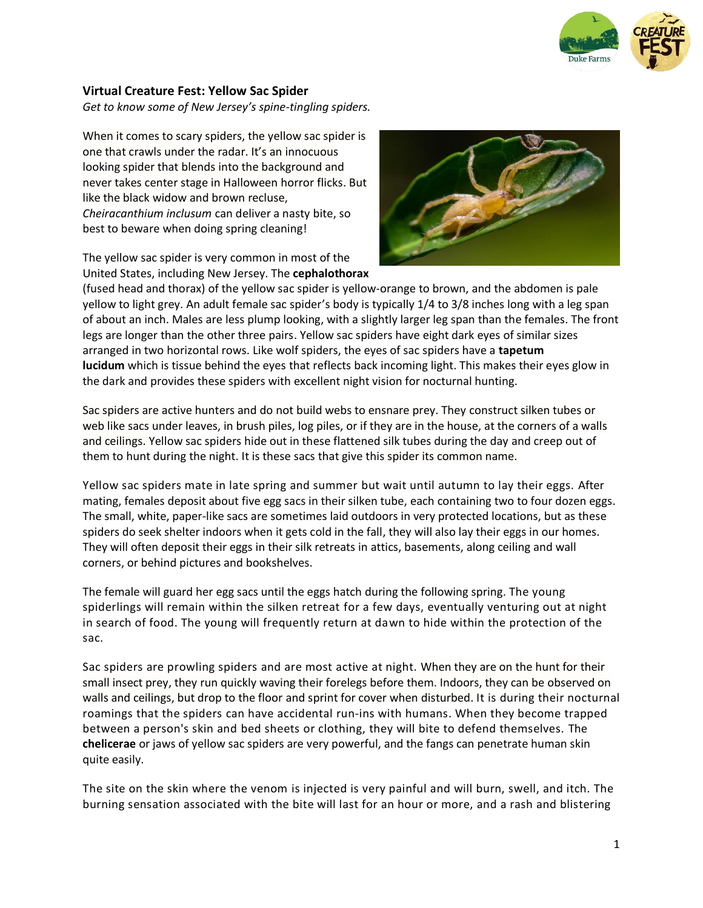

## **Virtual Creature Fest: Yellow Sac Spider**

*Get to know some of New Jersey's spine-tingling spiders.*

When it comes to scary spiders, the yellow sac spider is one that crawls under the radar. It's an innocuous looking spider that blends into the background and never takes center stage in Halloween horror flicks. But like the black widow and brown recluse, *Cheiracanthium inclusum* can deliver a nasty bite, so best to beware when doing spring cleaning!

The yellow sac spider is very common in most of the United States, including New Jersey. The **[cephalothorax](https://www.uky.edu/Ag/CritterFiles/casefile/spiders/anatomy/spideranatomy.htm)**



(fused head and thorax) of the yellow sac spider is yellow-orange to brown, and the abdomen is pale yellow to light grey. An adult female sac spider's body is typically 1/4 to 3/8 inches long with a leg span of about an inch. Males are less plump looking, with a slightly larger leg span than the females. The front legs are longer than the other three pairs. Yellow sac spiders have eight dark eyes of similar sizes arranged in two horizontal rows. Like wolf spiders, the eyes of sac spiders have a **[tapetum](https://en.wikipedia.org/wiki/Tapetum_lucidum)  [lucidum](https://en.wikipedia.org/wiki/Tapetum_lucidum)** which is tissue behind the eyes that reflects back incoming light. This makes their eyes glow in the dark and provides these spiders with excellent night vision for nocturnal hunting.

Sac spiders are active hunters and do not build webs to ensnare prey. They construct silken tubes or web like sacs under leaves, in brush piles, log piles, or if they are in the house, at the corners of a walls and ceilings. Yellow sac spiders hide out in these flattened silk tubes during the day and creep out of them to hunt during the night. It is these sacs that give this spider its common name.

Yellow sac spiders mate in late spring and summer but wait until autumn to lay their eggs. After mating, females deposit about five egg sacs in their silken tube, each containing two to four dozen eggs. The small, white, paper-like sacs are sometimes laid outdoors in very protected locations, but as these spiders do seek shelter indoors when it gets cold in the fall, they will also lay their eggs in our homes. They will often deposit their eggs in their silk retreats in attics, basements, along ceiling and wall corners, or behind pictures and bookshelves.

The female will guard her egg sacs until the eggs hatch during the following spring. The young spiderlings will remain within the silken retreat for a few days, eventually venturing out at night in search of food. The young will frequently return at dawn to hide within the protection of the sac.

Sac spiders are prowling spiders and are most active at night. When they are on the hunt for their small insect prey, they run quickly waving their forelegs before them. Indoors, they can be observed on walls and ceilings, but drop to the floor and sprint for cover when disturbed. It is during their nocturnal roamings that the spiders can have accidental run-ins with humans. When they become trapped between a person's skin and bed sheets or clothing, they will bite to defend themselves. The **[chelicerae](https://www.uky.edu/Ag/CritterFiles/casefile/spiders/anatomy/spideranatomy.htm)** or jaws of yellow sac spiders are very powerful, and the fangs can penetrate human skin quite easily.

The site on the skin where the venom is injected is very painful and will burn, swell, and itch. The burning sensation associated with the bite will last for an hour or more, and a rash and blistering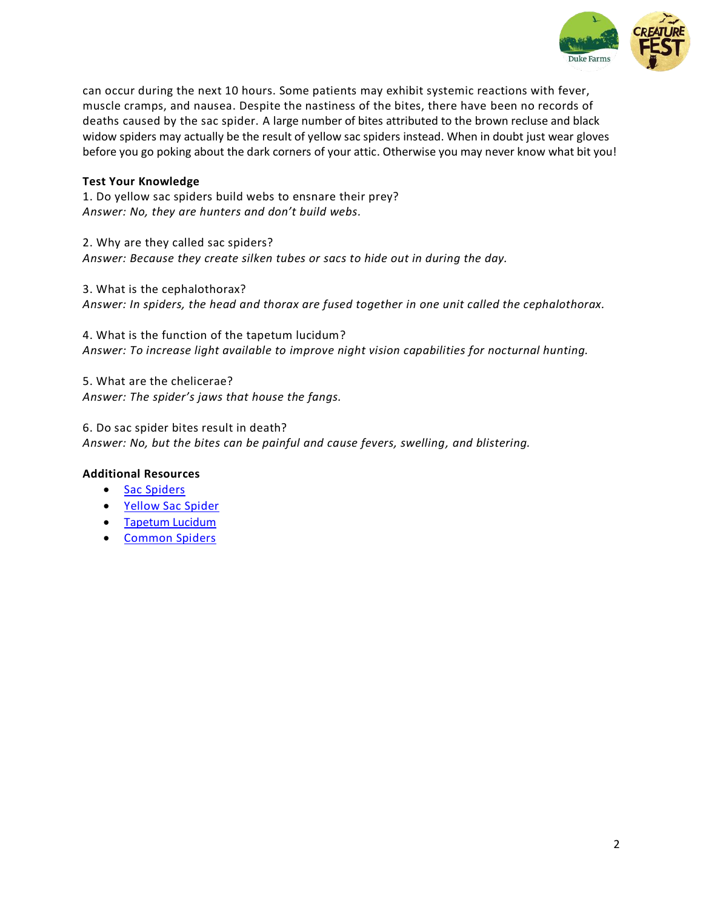

can occur during the next 10 hours. Some patients may exhibit systemic reactions with fever, muscle cramps, and nausea. Despite the nastiness of the bites, there have been no records of deaths caused by the sac spider. A large number of bites attributed to the brown recluse and black widow spiders may actually be the result of yellow sac spiders instead. When in doubt just wear gloves before you go poking about the dark corners of your attic. Otherwise you may never know what bit you!

# **Test Your Knowledge**

1. Do yellow sac spiders build webs to ensnare their prey? *Answer: No, they are hunters and don't build webs.*

2. Why are they called sac spiders? *Answer: Because they create silken tubes or sacs to hide out in during the day.*

3. What is the cephalothorax? *Answer: In spiders, the head and thorax are fused together in one unit called the cephalothorax.*

4. What is the function of the tapetum lucidum? *Answer: To increase light available to improve night vision capabilities for nocturnal hunting.*

5. What are the chelicerae? *Answer: The spider's jaws that house the fangs.*

6. Do sac spider bites result in death? *Answer: No, but the bites can be painful and cause fevers, swelling, and blistering.*

## **Additional Resources**

- [Sac Spiders](https://extension.psu.edu/agrarian-sac-spider-and-longlegged-sac-spider)
- [Yellow Sac Spider](https://www.canr.msu.edu/resources/yellow-sac-spiders)
- [Tapetum Lucidum](https://gizmodo.com/this-is-how-to-find-the-spiders-that-are-staring-at-you-1721584332)
- [Common Spiders](https://ento.psu.edu/outreach/extension/insect-image-gallery/spiders)